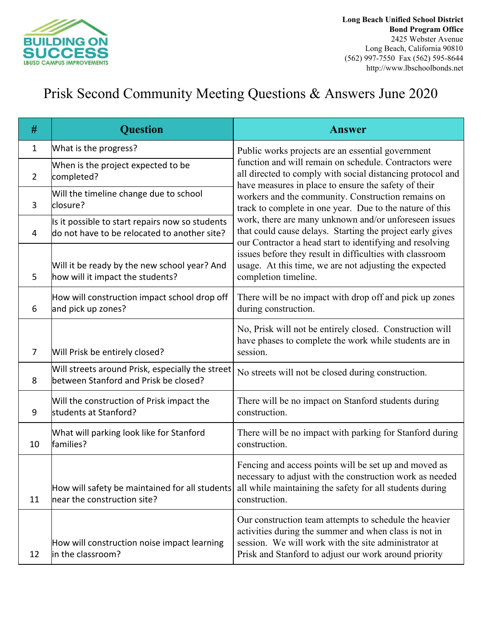

## Prisk Second Community Meeting Questions & Answers June 2020

| #              | <b>Question</b>                                                                                 | <b>Answer</b>                                                                                                                                                                                                                                                                                                                                                                                                                                                                                                                                                                                                                  |
|----------------|-------------------------------------------------------------------------------------------------|--------------------------------------------------------------------------------------------------------------------------------------------------------------------------------------------------------------------------------------------------------------------------------------------------------------------------------------------------------------------------------------------------------------------------------------------------------------------------------------------------------------------------------------------------------------------------------------------------------------------------------|
| 1              | What is the progress?                                                                           | Public works projects are an essential government                                                                                                                                                                                                                                                                                                                                                                                                                                                                                                                                                                              |
| $\overline{2}$ | When is the project expected to be<br>completed?                                                | function and will remain on schedule. Contractors were<br>all directed to comply with social distancing protocol and<br>have measures in place to ensure the safety of their<br>workers and the community. Construction remains on<br>track to complete in one year. Due to the nature of this<br>work, there are many unknown and/or unforeseen issues<br>that could cause delays. Starting the project early gives<br>our Contractor a head start to identifying and resolving<br>issues before they result in difficulties with classroom<br>usage. At this time, we are not adjusting the expected<br>completion timeline. |
| 3              | Will the timeline change due to school<br>closure?                                              |                                                                                                                                                                                                                                                                                                                                                                                                                                                                                                                                                                                                                                |
| 4              | Is it possible to start repairs now so students<br>do not have to be relocated to another site? |                                                                                                                                                                                                                                                                                                                                                                                                                                                                                                                                                                                                                                |
| 5              | Will it be ready by the new school year? And<br>how will it impact the students?                |                                                                                                                                                                                                                                                                                                                                                                                                                                                                                                                                                                                                                                |
| 6              | How will construction impact school drop off<br>and pick up zones?                              | There will be no impact with drop off and pick up zones<br>during construction.                                                                                                                                                                                                                                                                                                                                                                                                                                                                                                                                                |
| $\overline{7}$ | Will Prisk be entirely closed?                                                                  | No, Prisk will not be entirely closed. Construction will<br>have phases to complete the work while students are in<br>session.                                                                                                                                                                                                                                                                                                                                                                                                                                                                                                 |
| 8              | Will streets around Prisk, especially the street<br>between Stanford and Prisk be closed?       | No streets will not be closed during construction.                                                                                                                                                                                                                                                                                                                                                                                                                                                                                                                                                                             |
| 9              | Will the construction of Prisk impact the<br>students at Stanford?                              | There will be no impact on Stanford students during<br>construction.                                                                                                                                                                                                                                                                                                                                                                                                                                                                                                                                                           |
| 10             | What will parking look like for Stanford<br>families?                                           | There will be no impact with parking for Stanford during<br>construction.                                                                                                                                                                                                                                                                                                                                                                                                                                                                                                                                                      |
| 11             | How will safety be maintained for all students<br>near the construction site?                   | Fencing and access points will be set up and moved as<br>necessary to adjust with the construction work as needed<br>all while maintaining the safety for all students during<br>construction.                                                                                                                                                                                                                                                                                                                                                                                                                                 |
| 12             | How will construction noise impact learning<br>in the classroom?                                | Our construction team attempts to schedule the heavier<br>activities during the summer and when class is not in<br>session. We will work with the site administrator at<br>Prisk and Stanford to adjust our work around priority                                                                                                                                                                                                                                                                                                                                                                                               |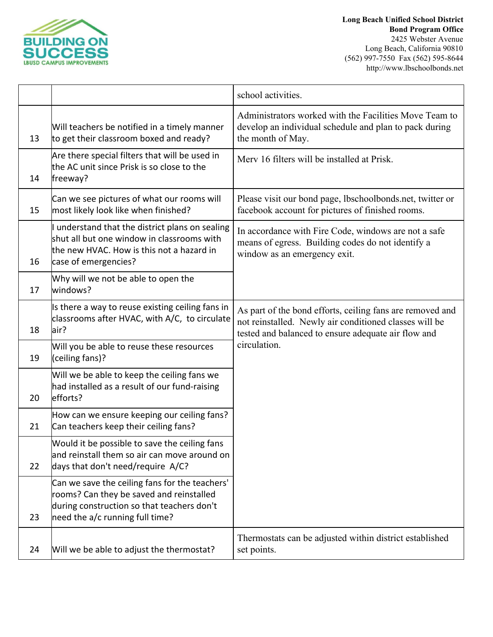

|    |                                                                                                                                                                             | school activities.                                                                                                                                                                         |
|----|-----------------------------------------------------------------------------------------------------------------------------------------------------------------------------|--------------------------------------------------------------------------------------------------------------------------------------------------------------------------------------------|
| 13 | Will teachers be notified in a timely manner<br>to get their classroom boxed and ready?                                                                                     | Administrators worked with the Facilities Move Team to<br>develop an individual schedule and plan to pack during<br>the month of May.                                                      |
| 14 | Are there special filters that will be used in<br>the AC unit since Prisk is so close to the<br>freeway?                                                                    | Merv 16 filters will be installed at Prisk.                                                                                                                                                |
| 15 | Can we see pictures of what our rooms will<br>most likely look like when finished?                                                                                          | Please visit our bond page, lbschoolbonds.net, twitter or<br>facebook account for pictures of finished rooms.                                                                              |
| 16 | I understand that the district plans on sealing<br>shut all but one window in classrooms with<br>the new HVAC. How is this not a hazard in<br>case of emergencies?          | In accordance with Fire Code, windows are not a safe<br>means of egress. Building codes do not identify a<br>window as an emergency exit.                                                  |
| 17 | Why will we not be able to open the<br>windows?                                                                                                                             |                                                                                                                                                                                            |
| 18 | Is there a way to reuse existing ceiling fans in<br>classrooms after HVAC, with A/C, to circulate<br>air?                                                                   | As part of the bond efforts, ceiling fans are removed and<br>not reinstalled. Newly air conditioned classes will be<br>tested and balanced to ensure adequate air flow and<br>circulation. |
| 19 | Will you be able to reuse these resources<br>(ceiling fans)?                                                                                                                |                                                                                                                                                                                            |
| 20 | Will we be able to keep the ceiling fans we<br>had installed as a result of our fund-raising<br>efforts?                                                                    |                                                                                                                                                                                            |
| 21 | How can we ensure keeping our ceiling fans?<br>Can teachers keep their ceiling fans?                                                                                        |                                                                                                                                                                                            |
| 22 | Would it be possible to save the ceiling fans<br>and reinstall them so air can move around on<br>days that don't need/require A/C?                                          |                                                                                                                                                                                            |
| 23 | Can we save the ceiling fans for the teachers'<br>rooms? Can they be saved and reinstalled<br>during construction so that teachers don't<br>need the a/c running full time? |                                                                                                                                                                                            |
| 24 | Will we be able to adjust the thermostat?                                                                                                                                   | Thermostats can be adjusted within district established<br>set points.                                                                                                                     |